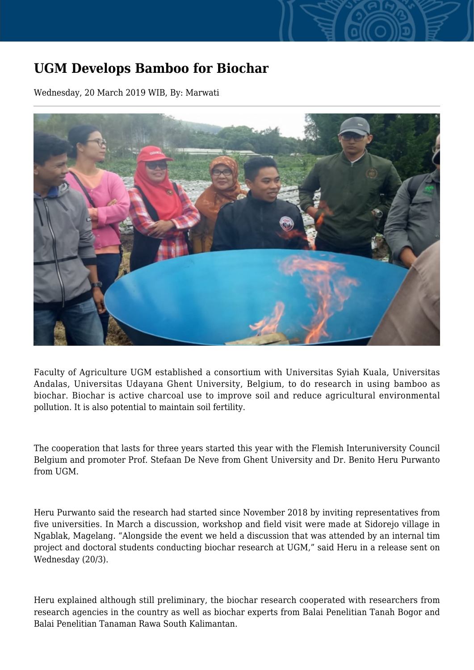## **UGM Develops Bamboo for Biochar**

Wednesday, 20 March 2019 WIB, By: Marwati



Faculty of Agriculture UGM established a consortium with Universitas Syiah Kuala, Universitas Andalas, Universitas Udayana Ghent University, Belgium, to do research in using bamboo as biochar. Biochar is active charcoal use to improve soil and reduce agricultural environmental pollution. It is also potential to maintain soil fertility.

The cooperation that lasts for three years started this year with the Flemish Interuniversity Council Belgium and promoter Prof. Stefaan De Neve from Ghent University and Dr. Benito Heru Purwanto from UGM.

Heru Purwanto said the research had started since November 2018 by inviting representatives from five universities. In March a discussion, workshop and field visit were made at Sidorejo village in Ngablak, Magelang. "Alongside the event we held a discussion that was attended by an internal tim project and doctoral students conducting biochar research at UGM," said Heru in a release sent on Wednesday (20/3).

Heru explained although still preliminary, the biochar research cooperated with researchers from research agencies in the country as well as biochar experts from Balai Penelitian Tanah Bogor and Balai Penelitian Tanaman Rawa South Kalimantan.